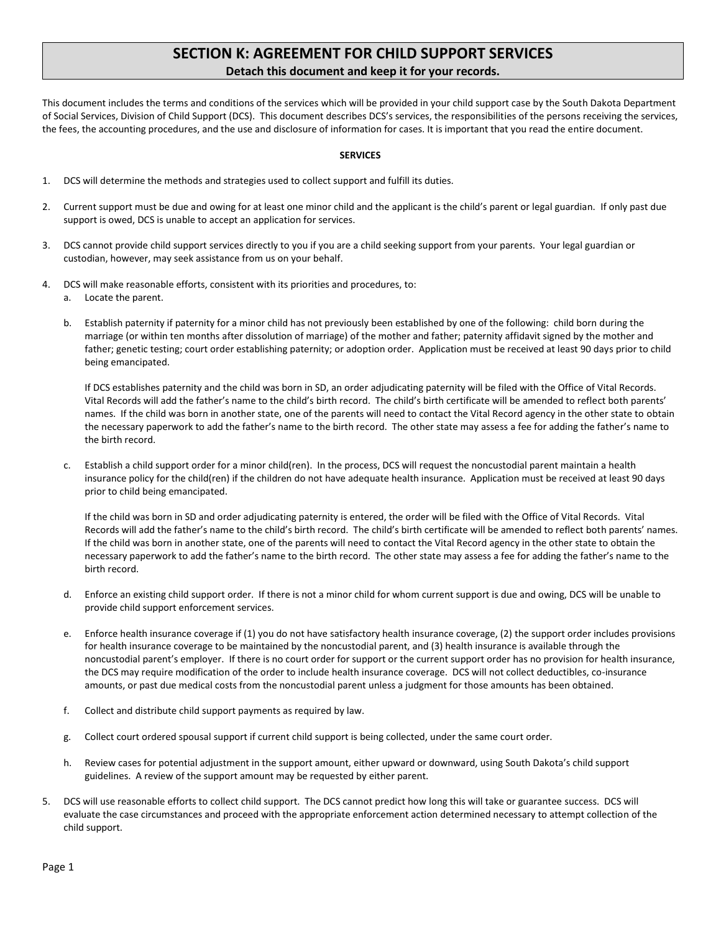# **SECTION K: AGREEMENT FOR CHILD SUPPORT SERVICES Detach this document and keep it for your records.**

This document includes the terms and conditions of the services which will be provided in your child support case by the South Dakota Department of Social Services, Division of Child Support (DCS). This document describes DCS's services, the responsibilities of the persons receiving the services, the fees, the accounting procedures, and the use and disclosure of information for cases. It is important that you read the entire document.

## **SERVICES**

- 1. DCS will determine the methods and strategies used to collect support and fulfill its duties.
- 2. Current support must be due and owing for at least one minor child and the applicant is the child's parent or legal guardian. If only past due support is owed, DCS is unable to accept an application for services.
- 3. DCS cannot provide child support services directly to you if you are a child seeking support from your parents. Your legal guardian or custodian, however, may seek assistance from us on your behalf.
- 4. DCS will make reasonable efforts, consistent with its priorities and procedures, to:
	- a. Locate the parent.
	- b. Establish paternity if paternity for a minor child has not previously been established by one of the following: child born during the marriage (or within ten months after dissolution of marriage) of the mother and father; paternity affidavit signed by the mother and father; genetic testing; court order establishing paternity; or adoption order. Application must be received at least 90 days prior to child being emancipated.

If DCS establishes paternity and the child was born in SD, an order adjudicating paternity will be filed with the Office of Vital Records. Vital Records will add the father's name to the child's birth record. The child's birth certificate will be amended to reflect both parents' names. If the child was born in another state, one of the parents will need to contact the Vital Record agency in the other state to obtain the necessary paperwork to add the father's name to the birth record. The other state may assess a fee for adding the father's name to the birth record.

c. Establish a child support order for a minor child(ren). In the process, DCS will request the noncustodial parent maintain a health insurance policy for the child(ren) if the children do not have adequate health insurance. Application must be received at least 90 days prior to child being emancipated.

If the child was born in SD and order adjudicating paternity is entered, the order will be filed with the Office of Vital Records. Vital Records will add the father's name to the child's birth record. The child's birth certificate will be amended to reflect both parents' names. If the child was born in another state, one of the parents will need to contact the Vital Record agency in the other state to obtain the necessary paperwork to add the father's name to the birth record. The other state may assess a fee for adding the father's name to the birth record.

- d. Enforce an existing child support order. If there is not a minor child for whom current support is due and owing, DCS will be unable to provide child support enforcement services.
- e. Enforce health insurance coverage if (1) you do not have satisfactory health insurance coverage, (2) the support order includes provisions for health insurance coverage to be maintained by the noncustodial parent, and (3) health insurance is available through the noncustodial parent's employer. If there is no court order for support or the current support order has no provision for health insurance, the DCS may require modification of the order to include health insurance coverage. DCS will not collect deductibles, co-insurance amounts, or past due medical costs from the noncustodial parent unless a judgment for those amounts has been obtained.
- f. Collect and distribute child support payments as required by law.
- g. Collect court ordered spousal support if current child support is being collected, under the same court order.
- h. Review cases for potential adjustment in the support amount, either upward or downward, using South Dakota's child support guidelines. A review of the support amount may be requested by either parent.
- 5. DCS will use reasonable efforts to collect child support. The DCS cannot predict how long this will take or guarantee success. DCS will evaluate the case circumstances and proceed with the appropriate enforcement action determined necessary to attempt collection of the child support.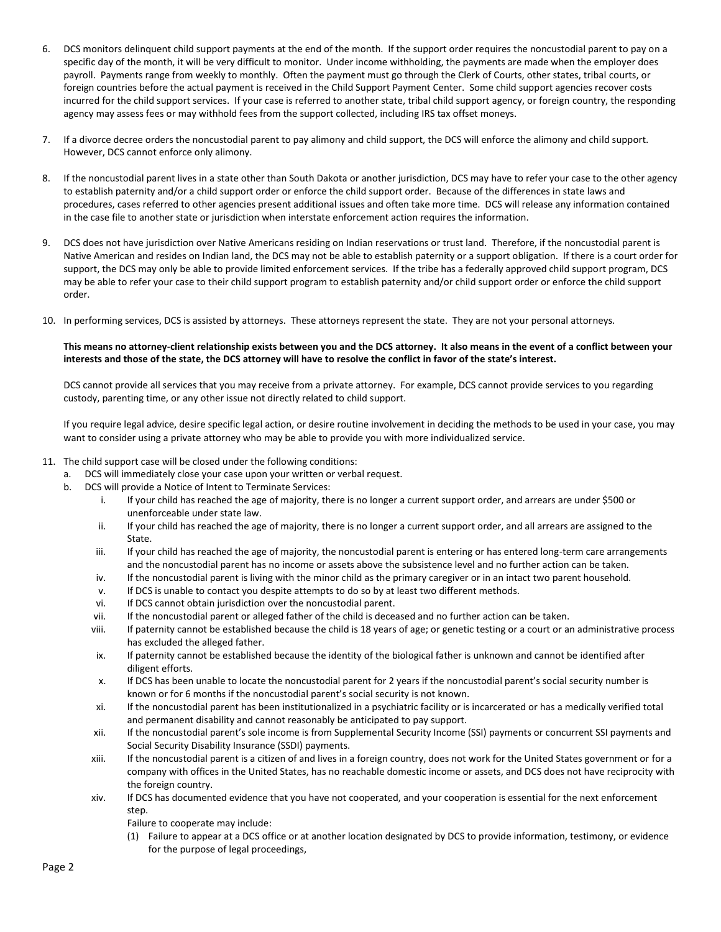- 6. DCS monitors delinquent child support payments at the end of the month. If the support order requires the noncustodial parent to pay on a specific day of the month, it will be very difficult to monitor. Under income withholding, the payments are made when the employer does payroll. Payments range from weekly to monthly. Often the payment must go through the Clerk of Courts, other states, tribal courts, or foreign countries before the actual payment is received in the Child Support Payment Center. Some child support agencies recover costs incurred for the child support services. If your case is referred to another state, tribal child support agency, or foreign country, the responding agency may assess fees or may withhold fees from the support collected, including IRS tax offset moneys.
- 7. If a divorce decree orders the noncustodial parent to pay alimony and child support, the DCS will enforce the alimony and child support. However, DCS cannot enforce only alimony.
- 8. If the noncustodial parent lives in a state other than South Dakota or another jurisdiction, DCS may have to refer your case to the other agency to establish paternity and/or a child support order or enforce the child support order. Because of the differences in state laws and procedures, cases referred to other agencies present additional issues and often take more time. DCS will release any information contained in the case file to another state or jurisdiction when interstate enforcement action requires the information.
- 9. DCS does not have jurisdiction over Native Americans residing on Indian reservations or trust land. Therefore, if the noncustodial parent is Native American and resides on Indian land, the DCS may not be able to establish paternity or a support obligation. If there is a court order for support, the DCS may only be able to provide limited enforcement services. If the tribe has a federally approved child support program, DCS may be able to refer your case to their child support program to establish paternity and/or child support order or enforce the child support order.
- 10. In performing services, DCS is assisted by attorneys. These attorneys represent the state. They are not your personal attorneys.

## **This means no attorney-client relationship exists between you and the DCS attorney. It also means in the event of a conflict between your interests and those of the state, the DCS attorney will have to resolve the conflict in favor of the state's interest.**

DCS cannot provide all services that you may receive from a private attorney. For example, DCS cannot provide services to you regarding custody, parenting time, or any other issue not directly related to child support.

If you require legal advice, desire specific legal action, or desire routine involvement in deciding the methods to be used in your case, you may want to consider using a private attorney who may be able to provide you with more individualized service.

- 11. The child support case will be closed under the following conditions:
	- a. DCS will immediately close your case upon your written or verbal request.
	- b. DCS will provide a Notice of Intent to Terminate Services:
		- i. If your child has reached the age of majority, there is no longer a current support order, and arrears are under \$500 or unenforceable under state law.
		- ii. If your child has reached the age of majority, there is no longer a current support order, and all arrears are assigned to the State.
		- iii. If your child has reached the age of majority, the noncustodial parent is entering or has entered long-term care arrangements and the noncustodial parent has no income or assets above the subsistence level and no further action can be taken.
		- iv. If the noncustodial parent is living with the minor child as the primary caregiver or in an intact two parent household.
		- v. If DCS is unable to contact you despite attempts to do so by at least two different methods.
		- vi. If DCS cannot obtain jurisdiction over the noncustodial parent.
		- vii. If the noncustodial parent or alleged father of the child is deceased and no further action can be taken.
		- viii. If paternity cannot be established because the child is 18 years of age; or genetic testing or a court or an administrative process has excluded the alleged father.
		- ix. If paternity cannot be established because the identity of the biological father is unknown and cannot be identified after diligent efforts.
		- x. If DCS has been unable to locate the noncustodial parent for 2 years if the noncustodial parent's social security number is known or for 6 months if the noncustodial parent's social security is not known.
		- xi. If the noncustodial parent has been institutionalized in a psychiatric facility or is incarcerated or has a medically verified total and permanent disability and cannot reasonably be anticipated to pay support.
		- xii. If the noncustodial parent's sole income is from Supplemental Security Income (SSI) payments or concurrent SSI payments and Social Security Disability Insurance (SSDI) payments.
		- xiii. If the noncustodial parent is a citizen of and lives in a foreign country, does not work for the United States government or for a company with offices in the United States, has no reachable domestic income or assets, and DCS does not have reciprocity with the foreign country.
		- xiv. If DCS has documented evidence that you have not cooperated, and your cooperation is essential for the next enforcement step.
			- Failure to cooperate may include:
			- (1) Failure to appear at a DCS office or at another location designated by DCS to provide information, testimony, or evidence for the purpose of legal proceedings,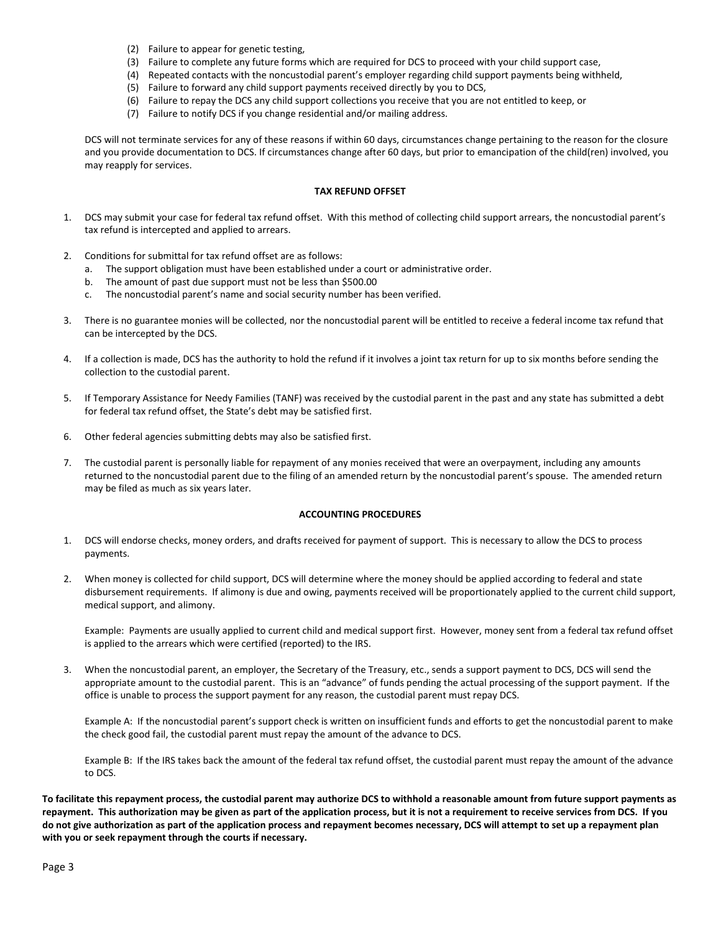- (2) Failure to appear for genetic testing,
- (3) Failure to complete any future forms which are required for DCS to proceed with your child support case,
- (4) Repeated contacts with the noncustodial parent's employer regarding child support payments being withheld,
- (5) Failure to forward any child support payments received directly by you to DCS,
- (6) Failure to repay the DCS any child support collections you receive that you are not entitled to keep, or
- (7) Failure to notify DCS if you change residential and/or mailing address.

DCS will not terminate services for any of these reasons if within 60 days, circumstances change pertaining to the reason for the closure and you provide documentation to DCS. If circumstances change after 60 days, but prior to emancipation of the child(ren) involved, you may reapply for services.

## **TAX REFUND OFFSET**

- 1. DCS may submit your case for federal tax refund offset. With this method of collecting child support arrears, the noncustodial parent's tax refund is intercepted and applied to arrears.
- 2. Conditions for submittal for tax refund offset are as follows:
	- a. The support obligation must have been established under a court or administrative order.
	- b. The amount of past due support must not be less than \$500.00
	- c. The noncustodial parent's name and social security number has been verified.
- 3. There is no guarantee monies will be collected, nor the noncustodial parent will be entitled to receive a federal income tax refund that can be intercepted by the DCS.
- 4. If a collection is made, DCS has the authority to hold the refund if it involves a joint tax return for up to six months before sending the collection to the custodial parent.
- 5. If Temporary Assistance for Needy Families (TANF) was received by the custodial parent in the past and any state has submitted a debt for federal tax refund offset, the State's debt may be satisfied first.
- 6. Other federal agencies submitting debts may also be satisfied first.
- 7. The custodial parent is personally liable for repayment of any monies received that were an overpayment, including any amounts returned to the noncustodial parent due to the filing of an amended return by the noncustodial parent's spouse. The amended return may be filed as much as six years later.

#### **ACCOUNTING PROCEDURES**

- 1. DCS will endorse checks, money orders, and drafts received for payment of support. This is necessary to allow the DCS to process payments.
- 2. When money is collected for child support, DCS will determine where the money should be applied according to federal and state disbursement requirements. If alimony is due and owing, payments received will be proportionately applied to the current child support, medical support, and alimony.

Example: Payments are usually applied to current child and medical support first. However, money sent from a federal tax refund offset is applied to the arrears which were certified (reported) to the IRS.

3. When the noncustodial parent, an employer, the Secretary of the Treasury, etc., sends a support payment to DCS, DCS will send the appropriate amount to the custodial parent. This is an "advance" of funds pending the actual processing of the support payment. If the office is unable to process the support payment for any reason, the custodial parent must repay DCS.

Example A: If the noncustodial parent's support check is written on insufficient funds and efforts to get the noncustodial parent to make the check good fail, the custodial parent must repay the amount of the advance to DCS.

Example B: If the IRS takes back the amount of the federal tax refund offset, the custodial parent must repay the amount of the advance to DCS.

**To facilitate this repayment process, the custodial parent may authorize DCS to withhold a reasonable amount from future support payments as repayment. This authorization may be given as part of the application process, but it is not a requirement to receive services from DCS. If you do not give authorization as part of the application process and repayment becomes necessary, DCS will attempt to set up a repayment plan with you or seek repayment through the courts if necessary.**